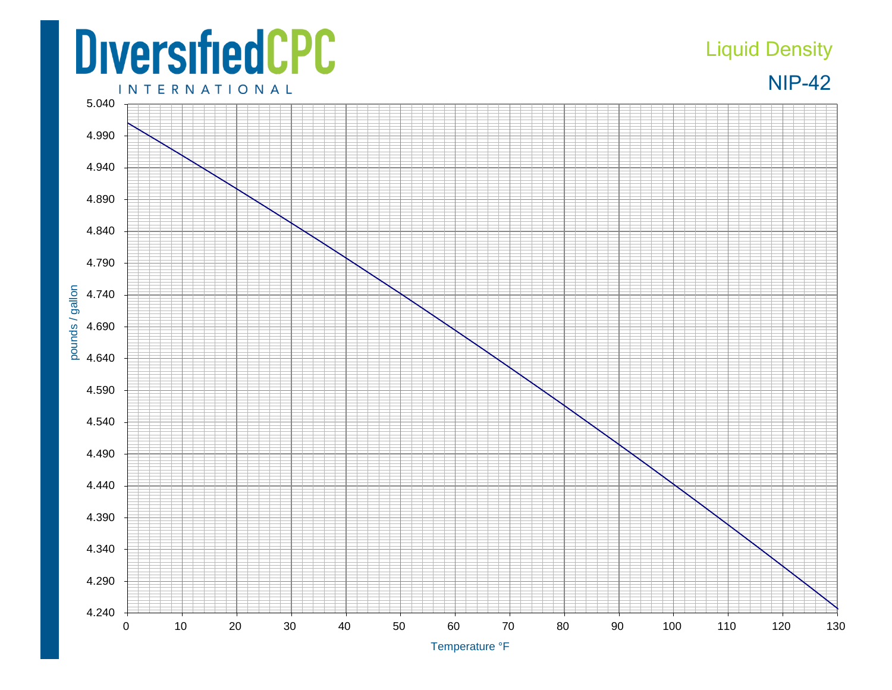## **DiversifiedCPC**

## Liquid Density



**INTERNATIONAL**